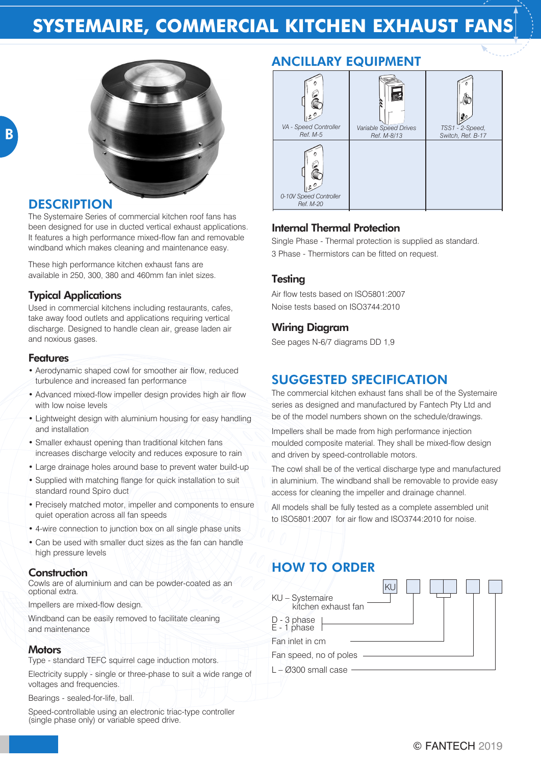# **SYSTEMAIRE, COMMERCIAL KITCHEN EXHAUST FANS**



#### **DESCRIPTION**

The Systemaire Series of commercial kitchen roof fans has been designed for use in ducted vertical exhaust applications. It features a high performance mixed-flow fan and removable windband which makes cleaning and maintenance easy.

These high performance kitchen exhaust fans are available in 250, 300, 380 and 460mm fan inlet sizes.

#### Typical Applications

Used in commercial kitchens including restaurants, cafes, take away food outlets and applications requiring vertical discharge. Designed to handle clean air, grease laden air and noxious gases.

#### **Features**

- Aerodynamic shaped cowl for smoother air flow, reduced turbulence and increased fan performance
- Advanced mixed-flow impeller design provides high air flow with low noise levels
- Lightweight design with aluminium housing for easy handling and installation
- Smaller exhaust opening than traditional kitchen fans increases discharge velocity and reduces exposure to rain
- Large drainage holes around base to prevent water build-up
- Supplied with matching flange for quick installation to suit standard round Spiro duct
- Precisely matched motor, impeller and components to ensure quiet operation across all fan speeds
- 4-wire connection to junction box on all single phase units
- Can be used with smaller duct sizes as the fan can handle high pressure levels

#### Construction

Cowls are of aluminium and can be powder-coated as an optional extra.

Impellers are mixed-flow design.

Windband can be easily removed to facilitate cleaning and maintenance

#### **Motors**

Type - standard TEFC squirrel cage induction motors.

Electricity supply - single or three-phase to suit a wide range of voltages and frequencies.

Bearings - sealed-for-life, ball.

Speed-controllable using an electronic triac-type controller (single phase only) or variable speed drive.

### ANCILLARY EQUIPMENT



#### Internal Thermal Protection

Single Phase - Thermal protection is supplied as standard. 3 Phase - Thermistors can be fitted on request.

#### **Testing**

Air flow tests based on ISO5801:2007 Noise tests based on ISO3744:2010

#### Wiring Diagram

See pages N-6/7 diagrams DD 1,9

### SUGGESTED SPECIFICATION

The commercial kitchen exhaust fans shall be of the Systemaire series as designed and manufactured by Fantech Pty Ltd and be of the model numbers shown on the schedule/drawings.

Impellers shall be made from high performance injection moulded composite material. They shall be mixed-flow design and driven by speed-controllable motors.

The cowl shall be of the vertical discharge type and manufactured in aluminium. The windband shall be removable to provide easy access for cleaning the impeller and drainage channel.

All models shall be fully tested as a complete assembled unit to ISO5801:2007 for air flow and ISO3744:2010 for noise.

## HOW TO ORDER

| KU – Systemaire<br>kitchen exhaust fan |  |
|----------------------------------------|--|
| D - 3 phase<br>E - 1 phase             |  |
| Fan inlet in cm                        |  |
| Fan speed, no of poles                 |  |
| $L - \varnothing$ 300 small case       |  |